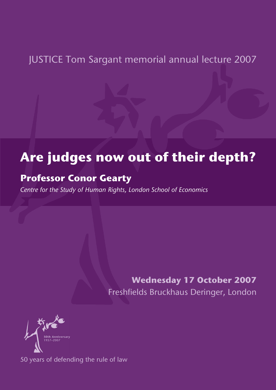## JUSTICE Tom Sargant memorial annual lecture 2007

# **Are judges now out of their depth?**

### **Professor Conor Gearty**

*Centre for the Study of Human Rights, London School of Economics*

**Wednesday 17 October 2007** Freshfields Bruckhaus Deringer, London



50 years of defending the rule of law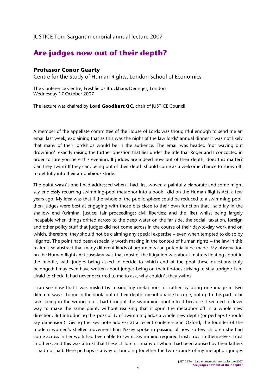#### JUSTICE Tom Sargant memorial annual lecture 2007

### **Are judges now out of their depth?**

#### **Professor Conor Gearty**

Centre for the Study of Human Rights, London School of Economics

The Conference Centre, Freshfields Bruckhaus Deringer, London Wednesday 17 October 2007

The lecture was chaired by **Lord Goodhart QC**, chair of JUSTICE Council

A member of the appellate committee of the House of Lords was thoughtful enough to send me an email last week, explaining that as this was the night of the law lords' annual dinner it was not likely that many of their lordships would be in the audience. The email was headed 'not waving but drowning': exactly raising the further question that lies under the title that Roger and I concocted in order to lure you here this evening. If judges are indeed now out of their depth, does this matter? Can they swim? If they can, being out of their depth should come as a welcome chance to show off, to get fully into their amphibious stride.

The point wasn't one I had addressed when I had first woven a painfully elaborate and some might say endlessly recurring swimming-pool metaphor into a book I did on the Human Rights Act, a few years ago. My idea was that if the whole of the public sphere could be reduced to a swimming pool, then judges were best at engaging with those bits close to their own function that I said lay in the shallow end (criminal justice; fair proceedings; civil liberties; and the like) whilst being largely incapable when things drifted across to the deep water on the far side, the social, taxation, foreign and other policy stuff that judges did not come across in the course of their day-to-day work and on which, therefore, they should not be claiming any special expertise – even when tempted to do so by litigants. The point had been especially worth making in the context of human rights – the law in this realm is so abstract that many different kinds of arguments can potentially be made. My observation on the Human Rights Act case-law was that most of the litigation was about matters floating about in the middle, with judges being asked to decide to which end of the pool these questions truly belonged: I may even have written about judges being on their tip-toes striving to stay upright: I am afraid to check. It had never occurred to me to ask, why couldn't they swim?

I can see now that I was misled by mixing my metaphors, or rather by using one image in two different ways. To me in the book 'out of their depth' meant unable to cope, not up to this particular task, being in the wrong job. I had brought the swimming pool into it because it seemed a clever way to make the same point, without realising that it spun the metaphor off in a whole new direction. But introducing this possibility of swimming adds a whole new depth (or perhaps I should say dimension). Giving the key note address at a recent conference in Oxford, the founder of the modern women's shelter movement Erin Pizzey spoke in passing of how so few children she had come across in her work had been able to swim. Swimming required trust: trust in themselves, trust in others, and this was a trust that these children – many of whom had been abused by their fathers – had not had. Here perhaps is a way of bringing together the two strands of my metaphor: judges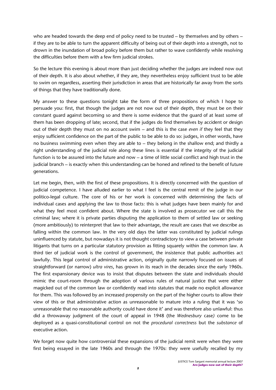who are headed towards the deep end of policy need to be trusted – by themselves and by others – if they are to be able to turn the apparent difficulty of being out of their depth into a strength, not to drown in the inundation of broad policy before them but rather to wave confidently while resolving the difficulties before them with a few firm judicial strokes.

So the lecture this evening is about more than just deciding whether the judges are indeed now out of their depth. It is also about whether, if they are, they nevertheless enjoy sufficient trust to be able to swim on regardless, asserting their jurisdiction in areas that are historically far away from the sorts of things that they have traditionally done.

My answer to these questions tonight take the form of three propositions of which I hope to persuade you: first, that though the judges are not now out of their depth, they must be on their constant guard against becoming so and there is some evidence that the guard of at least some of them has been dropping of late; second, that if the judges do find themselves by accident or design out of their depth they must on no account swim – and this is the case *even if* they feel that they enjoy sufficient confidence on the part of the public to be able to do so: judges, in other words, have no business swimming even when they are able to – they belong in the shallow end; and thirdly a right understanding of the judicial role along these lines is essential if the integrity of the judicial function is to be assured into the future and now – a time of little social conflict and high trust in the judicial branch – is exactly when this understanding can be honed and refined to the benefit of future generations.

Let me begin, then, with the first of these propositions. It is directly concerned with the question of judicial competence. I have alluded earlier to what I feel is the central remit of the judge in our politico-legal culture. The core of his or her work is concerned with determining the facts of individual cases and applying the law to those facts: this is what judges have been mainly for and what they feel most confident about. Where the state is involved as prosecutor we call this the criminal law; where it is private parties disputing the application to them of settled law or seeking (more ambitiously) to reinterpret that law to their advantage, the result are cases that we describe as falling within the common law. In the very old days the latter was constituted by judicial rulings uninfluenced by statute, but nowadays it is not thought contradictory to view a case between private litigants that turns on a particular statutory provision as fitting squarely within the common law. A third tier of judicial work is the control of government, the insistence that public authorities act lawfully. This legal control of administrative action, originally quite narrowly focused on issues of straightforward (or narrow) *ultra vires*, has grown in its reach in the decades since the early 1960s. The first expansionary device was to insist that disputes between the state and individuals should mimic the court-room through the adoption of various rules of natural justice that were either magicked out of the common law or confidently read into statutes that made no explicit allowance for them. This was followed by an increased propensity on the part of the higher courts to allow their view of this or that administrative action as unreasonable to mature into a ruling that it was 'so unreasonable that no reasonable authority could have done it' and was therefore also unlawful: thus did a throwaway judgment of the court of appeal in 1948 (the *Wednesbury* case*)* come to be deployed as a quasi-constitutional control on not the *procedural correctness* but the *substance* of executive action.

We forget now quite how controversial these expansions of the judicial remit were when they were first being essayed in the late 1960s and through the 1970s: they were usefully recalled by my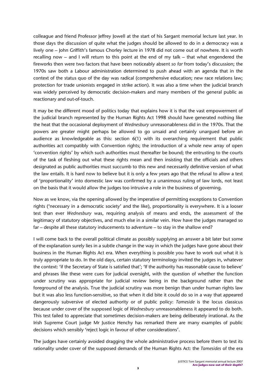colleague and friend Professor Jeffrey Jowell at the start of his Sargant memorial lecture last year. In those days the discussion of quite what the judges should be allowed to do in a democracy was a lively one – John Griffith's famous Chorley lecture in 1978 did not come out of nowhere. It is worth recalling now – and I will return to this point at the end of my talk – that what engendered the fireworks then were two factors that have been noticeably absent *so far* from today's discussion; the 1970s saw both a Labour administration determined to push ahead with an agenda that in the context of the status quo of the day was radical (comprehensive education; new race relations law; protection for trade unionists engaged in strike action). It was also a time when the judicial branch was widely perceived by democratic decision-makers and many members of the general public as reactionary and out-of-touch.

It may be the different mood of politics today that explains how it is that the vast empowerment of the judicial branch represented by the Human Rights Act 1998 should have generated nothing like the heat that the occasional deployment of *Wednesbury* unreasonableness did in the 1970s. That the powers are greater might perhaps be allowed to go unsaid and certainly unargued before an audience as knowledgeable as this: section 6(1) with its overarching requirement that public authorities act compatibly with Convention rights; the introduction of a whole new array of open 'convention rights' by which such authorities must thereafter be bound; the entrusting to the courts of the task of fleshing out what these rights mean and then insisting that the officials and others designated as public authorities must succumb to this new and necessarily definitive version of what the law entails. It is hard now to believe but it is only a few years ago that the refusal to allow a test of 'proportionality' into domestic law was confirmed by a unanimous ruling of law lords, not least on the basis that it would allow the judges too intrusive a role in the business of governing.

Now as we know, via the opening allowed by the imperative of permitting exceptions to Convention rights ('necessary in a democratic society' and the like), proportionality is everywhere. It is a looser test than ever *Wednesbury* was, requiring analysis of means and ends, the assessment of the legitimacy of statutory objectives, and much else in a similar vein. How have the judges managed so far – despite all these statutory inducements to adventure – to stay in the shallow end?

I will come back to the overall political climate as possibly supplying an answer a bit later but some of the explanation surely lies in a subtle change in the way in which the judges have gone about their business in the Human Rights Act era. When everything is possible you have to work out what it is truly appropriate to do. In the old days, certain statutory terminology invited the judges in, whatever the context: 'if the Secretary of State is satisfied that'; 'If the authority has reasonable cause to believe' and phrases like these were cues for judicial oversight, with the question of whether the function under scrutiny was appropriate for judicial review being in the background rather than the foreground of the analysis. True the judicial scrutiny was more benign than under human rights law but it was also less function-sensitive, so that when it did bite it could do so in a way that appeared dangerously subversive of elected authority or of public policy: *Tameside* is the locus classicus because under cover of the supposed logic of *Wednesbury* unreasonableness it appeared to do both. This test failed to appreciate that sometimes decision-makers are being deliberately irrational. As the Irish Supreme Court judge Mr Justice Henchy has remarked there are many examples of public decisions which sensibly 'reject logic in favour of other considerations'.

The judges have certainly avoided dragging the whole administrative process before them to test its rationality under cover of the supposed demands of the Human Rights Act: the *Tamesides* of the era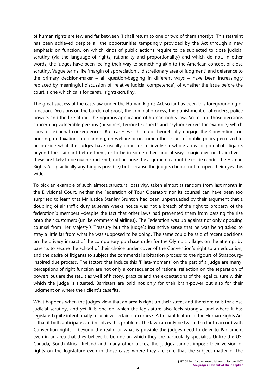of human rights are few and far between (I shall return to one or two of them shortly). This restraint has been achieved despite all the opportunities temptingly provided by the Act through a new emphasis on function, on which kinds of public actions require to be subjected to close judicial scrutiny (via the language of rights, rationality and proportionality) and which do not. In other words, the judges have been feeling their way to something akin to the American concept of close scrutiny. Vague terms like 'margin of appreciation', 'discretionary area of judgment' and deference to the primary decision-maker – all question-begging in different ways – have been increasingly replaced by meaningful discussion of 'relative judicial competence', of whether the issue before the court is one which calls for careful rights-scrutiny.

The great success of the case-law under the Human Rights Act so far has been this foregrounding of function. Decisions on the burden of proof, the criminal process, the punishment of offenders, police powers and the like attract the rigorous application of human rights law. So too do those decisions concerning vulnerable persons (prisoners, terrorist suspects and asylum seekers for example) which carry quasi-penal consequences. But cases which could theoretically engage the Convention, on housing, on taxation, on planning, on welfare or on some other issues of public policy perceived to be outside what the judges have usually done, or to involve a whole array of potential litigants beyond the claimant before them, or to be in some other kind of way imaginative or distinctive – these are likely to be given short-shift, not because the argument cannot be made (under the Human Rights Act practically anything is possible) but because the judges choose not to open their eyes this wide.

To pick an example of such almost structural passivity, taken almost at random from last month in the Divisional Court, neither the Federation of Tour Operators nor its counsel can have been too surprised to learn that Mr Justice Stanley Brunton had been unpersuaded by their argument that a doubling of air traffic duty at seven weeks notice was not a breach of the right to property of the federation's members –despite the fact that other laws had prevented them from passing the rise onto their customers (unlike commercial airlines). The Federation was up against not only opposing counsel from Her Majesty's Treasury but the judge's instinctive sense that he was being asked to stray a little far from what he was supposed to be doing. The same could be said of recent decisions on the privacy impact of the compulsory purchase order for the Olympic village, on the attempt by parents to secure the school of their choice under cover of the Convention's right to an education, and the desire of litigants to subject the commercial arbitration process to the rigours of Strasbourginspired due process. The factors that induce this 'Pilate-moment' on the part of a judge are many: perceptions of right function are not only a consequence of rational reflection on the separation of powers but are the result as well of history, practice and the expectations of the legal culture within which the judge is situated. Barristers are paid not only for their brain-power but also for their judgment on where their client's case fits.

What happens when the judges view that an area is right up their street and therefore calls for close judicial scrutiny, and yet it is one on which the legislature also feels strongly, and where it has legislated quite intentionally to achieve certain outcomes? A brilliant feature of the Human Rights Act is that it both anticipates and resolves this problem. The law can only be twisted so far to accord with Convention rights – beyond the realm of what is possible the judges need to defer to Parliament even in an area that they believe to be one on which they are particularly specialist. Unlike the US, Canada, South Africa, Ireland and many other places, the judges cannot impose their version of rights on the legislature even in those cases where they are sure that the subject matter of the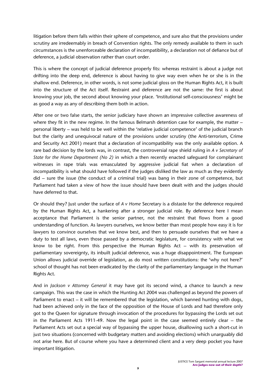litigation before them falls within their sphere of competence, and sure also that the provisions under scrutiny are irredeemably in breach of Convention rights. The only remedy available to them in such circumstances is the unenforceable declaration of incompatibility, a declaration not of defiance but of deference, a judicial observation rather than court order.

This is where the concept of judicial deference properly fits: whereas restraint is about a judge not drifting into the deep end, deference is about having to give way even when he or she is in the shallow end. Deference, in other words, is not some judicial gloss on the Human Rights Act, it is built into the structure of the Act itself. Restraint and deference are not the same: the first is about knowing your job, the second about knowing your place. 'Institutional self-consciousness' might be as good a way as any of describing them both in action.

After one or two false starts, the senior judiciary have shown an impressive collective awareness of where they fit in the new regime. In the famous Belmarsh detention case for example, the matter – personal liberty – was held to be well within the 'relative judicial competence' of the judicial branch but the clarity and unequivocal nature of the provisions under scrutiny (the Anti-terrorism, Crime and Security Act 2001) meant that a declaration of incompatibility was the only available option. A rare bad decision by the lords was, in contrast, the controversial rape shield ruling in *A v Secretary of State for the Home Department (No 2)* in which a then recently enacted safeguard for complainant witnesses in rape trials was emasculated by aggressive judicial fiat when a declaration of incompatibility is what should have followed if the judges disliked the law as much as they evidently did – sure the issue (the conduct of a criminal trial) was bang in their zone of competence, but Parliament had taken a view of how the issue should have been dealt with and the judges should have deferred to that.

Or should they? Just under the surface of *A v Home* Secretary is a distaste for the deference required by the Human Rights Act, a hankering after a stronger judicial role. By deference here I mean acceptance that Parliament is the senior partner, not the restraint that flows from a good understanding of function. As lawyers ourselves, we know better than most people how easy it is for lawyers to convince ourselves that we know best, and then to persuade ourselves that we have a duty to test all laws, even those passed by a democratic legislature, for consistency with what we know to be right. From this perspective the Human Rights Act – with its preservation of parliamentary sovereignty, its inbuilt judicial deference, was a huge disappointment. The European Union allows judicial override of legislation, as do most written constitutions: the 'why not here?' school of thought has not been eradicated by the clarity of the parliamentary language in the Human Rights Act.

And in *Jackson v Attorney General* it may have got its second wind, a chance to launch a new campaign. This was the case in which the Hunting Act 2004 was challenged as beyond the powers of Parliament to enact – it will be remembered that the legislation, which banned hunting with dogs, had been achieved only in the face of the opposition of the House of Lords and had therefore only got to the Queen for signature through invocation of the procedures for bypassing the Lords set out in the Parliament Acts 1911-49. Now the legal point in the case seemed entirely clear – the Parliament Acts set out a special way of bypassing the upper house, disallowing such a short-cut in just two situations (concerned with budgetary matters and avoiding elections) which unarguably did not arise here. But of course where you have a determined client and a very deep pocket you have important litigation.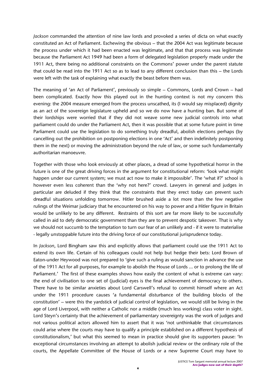*Jackson* commanded the attention of nine law lords and provoked a series of dicta on what exactly constituted an Act of Parliament. Eschewing the obvious – that the 2004 Act was legitimate because the process under which it had been enacted was legitimate, and that that process was legitimate because the Parliament Act 1949 had been a form of delegated legislation properly made under the 1911 Act, there being no additional constraints on the Commons' power under the parent statute that could be read into the 1911 Act so as to lead to any different conclusion than this – the Lords were left with the task of explaining what exactly the beast before them was.

The meaning of 'an Act of Parliament', previously so simple – Commons, Lords and Crown – had been complicated. Exactly how this played out in the hunting context is not my concern this evening: the 2004 measure emerged from the process unscathed, its (I would say misplaced) dignity as an act of the sovereign legislature upheld and so we do now have a hunting ban. But some of their lordships were worried that if they did not weave some new judicial controls into what parliament could do under the Parliament Act, then it was possible that at some future point in time Parliament could use the legislation to do something truly dreadful, abolish elections perhaps (by cancelling out the prohibition on postponing elections in one 'Act' and then indefinitely postponing them in the next) or moving the administration beyond the rule of law, or some such fundamentally authoritarian manoeuvre.

Together with those who look enviously at other places, a dread of some hypothetical horror in the future is one of the great driving forces in the argument for constitutional reform: 'look what might happen under our current system; we must act now to make it impossible'. The 'what if?' school is however even less coherent than the 'why not here?' crowd. Lawyers in general and judges in particular are deluded if they think that the constraints that they erect today can prevent such dreadful situations unfolding tomorrow. Hitler brushed aside a lot more than the few negative rulings of the Weimar judiciary that he encountered on his way to power and a Hitler figure in Britain would be unlikely to be any different. Restraints of this sort are far more likely to be successfully called in aid to defy democratic government than they are to prevent despotic takeover. That is why we should not succumb to the temptation to turn our fear of an unlikely and - if it were to materialise - legally unstoppable future into the driving force of our constitutional jurisprudence today.

In *Jackson*, Lord Bingham saw this and explicitly allows that parliament could use the 1911 Act to extend its own life. Certain of his colleagues could not help but hedge their bets: Lord Brown of Eaton-under Heywood was not prepared to 'give such a ruling as would sanction in advance the use of the 1911 Act for all purposes, for example to abolish the House of Lords ... or to prolong the life of Parliament.' The first of these examples shows how easily the content of what is extreme can vary: the end of civilisation to one set of (judicial) eyes is the final achievement of democracy to others. There have to be similar anxieties about Lord Carswell's refusal to commit himself where an Act under the 1911 procedure causes 'a fundamental disturbance of the building blocks of the constitution' – were this the yardstick of judicial control of legislation, we would still be living in the age of Lord Liverpool, with neither a Catholic nor a middle (much less working) class voter in sight. Lord Steyn's certainty that the achievement of parliamentary sovereignty was the work of judges and not various political actors allowed him to assert that it was 'not unthinkable that circumstances could arise where the courts may have to qualify a principle established on a different hypothesis of constitutionalism,' but what this seemed to mean in practice should give its supporters pause: 'In exceptional circumstances involving an attempt to abolish judicial review or the ordinary role of the courts, the Appellate Committee of the House of Lords or a new Supreme Court may have to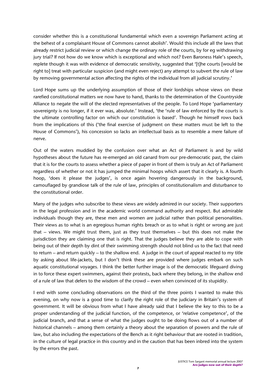consider whether this is a constitutional fundamental which even a sovereign Parliament acting at the behest of a complaisant House of Commons cannot abolish'. Would this include all the laws that already restrict judicial review or which change the ordinary role of the courts, by for eg withdrawing jury trial? If not how do we know which is exceptional and which not? Even Baroness Hale's speech, replete though it was with evidence of democratic sensitivity, suggested that '[t]he courts [would be right to] treat with particular suspicion (and might even reject) any attempt to subvert the rule of law by removing governmental action affecting the rights of the individual from all judicial scrutiny.'

Lord Hope sums up the underlying assumption of those of their lordships whose views on these rarefied constitutional matters we now have to hand, thanks to the determination of the Countryside Alliance to negate the will of the elected representatives of the people. To Lord Hope 'parliamentary sovereignty is no longer, if it ever was, absolute.' Instead, 'the 'rule of law enforced by the courts is the ultimate controlling factor on which our constitution is based'. Though he himself rows back from the implications of this ('the final exercise of judgment on these matters must be left to the House of Commons'), his concession so lacks an intellectual basis as to resemble a mere failure of nerve.

Out of the waters muddied by the confusion over what an Act of Parliament is and by wild hypotheses about the future has re-emerged an old canard from our pre-democratic past, the claim that it is for the courts to assess whether a piece of paper in front of them is truly an Act of Parliament regardless of whether or not it has jumped the minimal hoops which assert that it clearly is. A fourth hoop, 'does it please the judges', is once again hovering dangerously in the background, camouflaged by grandiose talk of the rule of law, principles of constitutionalism and disturbance to the constitutional order.

Many of the judges who subscribe to these views are widely admired in our society. Their supporters in the legal profession and in the academic world command authority and respect. But admirable individuals though they are, these men and women are judicial rather than political personalities. Their views as to what is an egregious human rights breach or as to what is right or wrong are just that – views. We might trust them, just as they trust themselves – but this does not make the jurisdiction they are claiming one that is right. That the judges believe they are able to cope with being out of their depth by dint of their swimming strength should not blind us to the fact that need to return – and return quickly – to the shallow end. A judge in the court of appeal reacted to my title by asking about life-jackets, but I don't think these are provided where judges embark on such aquatic constitutional voyages. I think the better further image is of the democratic lifeguard diving in to force these expert swimmers, against their protests, back where they belong, in the shallow end of a rule of law that defers to the wisdom of the crowd – even when convinced of its stupidity.

I end with some concluding observations on the third of the three points I wanted to make this evening, on why now is a good time to clarify the right role of the judiciary in Britain's system of government. It will be obvious from what I have already said that I believe the key to this to be a proper understanding of the judicial function, of the competence, or 'relative competence', of the judicial branch, and that a sense of what the judges ought to be doing flows out of a number of historical channels – among them certainly a theory about the separation of powers and the rule of law, but also including the expectations of the Bench as it right behaviour that are rooted in tradition, in the culture of legal practice in this country and in the caution that has been inbred into the system by the errors the past.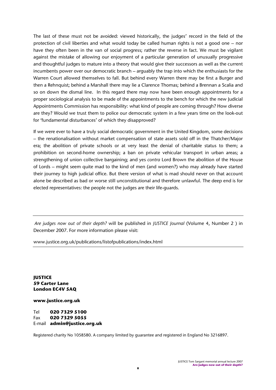The last of these must not be avoided: viewed historically, the judges' record in the field of the protection of civil liberties and what would today be called human rights is not a good one – nor have they often been in the van of social progress; rather the reverse in fact. We must be vigilant against the mistake of allowing our enjoyment of a particular generation of unusually progressive and thoughtful judges to mature into a theory that would give their successors as well as the current incumbents power over our democratic branch – arguably the trap into which the enthusiasts for the Warren Court allowed themselves to fall. But behind every Warren there may be first a Burger and then a Rehnquist; behind a Marshall there may lie a Clarence Thomas; behind a Brennan a Scalia and so on down the dismal line. In this regard there may now have been enough appointments for a proper sociological analysis to be made of the appointments to the bench for which the new Judicial Appointments Commission has responsibility: what kind of people are coming through? How diverse are they? Would we trust them to police our democratic system in a few years time on the look-out for 'fundamental disturbances' of which they disapproved?

If we were ever to have a truly social democratic government in the United Kingdom, some decisions – the renationalisation without market compensation of state assets sold off in the Thatcher/Major era; the abolition of private schools or at very least the denial of charitable status to them; a prohibition on second-home ownership; a ban on private vehicular transport in urban areas; a strengthening of union collective bargaining; and yes *contra* Lord Brown the abolition of the House of Lords – might seem quite mad to the kind of men (and women?) who may already have started their journey to high judicial office. But there version of what is mad should never on that account alone be described as bad or worse still unconstitutional and therefore unlawful. The deep end is for elected representatives: the people not the judges are their life-guards.

 *Are judges now out of their depth?* will be published in *JUSTICE Journal* (Volume 4, Number 2 ) in December 2007. For more information please visit:

www.justice.org.uk/publications/listofpublications/index.html

**JUSTICE 59 Carter Lane London EC4V 5AQ**

**www.justice.org.uk** 

Tel **020 7329 5100** Fax **020 7329 5055** E-mail **admin@justice.org.uk**

Registered charity No 1058580. A company limited by guarantee and registered in England No 3216897.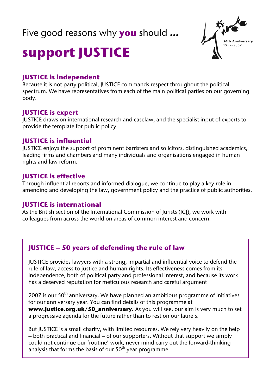## Five good reasons why **you** should **…**



# **support JUSTICE**

#### **JUSTICE is independent**

Because it is not party political, JUSTICE commands respect throughout the political spectrum. We have representatives from each of the main political parties on our governing body.

#### **JUSTICE is expert**

JUSTICE draws on international research and caselaw, and the specialist input of experts to provide the template for public policy.

#### **JUSTICE is influential**

JUSTICE enjoys the support of prominent barristers and solicitors, distinguished academics, leading firms and chambers and many individuals and organisations engaged in human rights and law reform.

#### **JUSTICE is effective**

Through influential reports and informed dialogue, we continue to play a key role in amending and developing the law, government policy and the practice of public authorities.

#### **JUSTICE is international**

As the British section of the International Commission of Jurists (ICJ), we work with colleagues from across the world on areas of common interest and concern.

#### **JUSTICE – 50 years of defending the rule of law**

JUSTICE provides lawyers with a strong, impartial and influential voice to defend the rule of law, access to justice and human rights. Its effectiveness comes from its independence, both of political party and professional interest, and because its work has a deserved reputation for meticulous research and careful argument

2007 is our  $50<sup>th</sup>$  anniversary. We have planned an ambitious programme of initiatives for our anniversary year. You can find details of this programme at **www.justice.org.uk/50\_anniversary.** As you will see, our aim is very much to set a progressive agenda for the future rather than to rest on our laurels.

But JUSTICE is a small charity, with limited resources. We rely very heavily on the help – both practical and financial – of our supporters. Without that support we simply could not continue our 'routine' work, never mind carry out the forward-thinking analysis that forms the basis of our  $50<sup>th</sup>$  year programme.